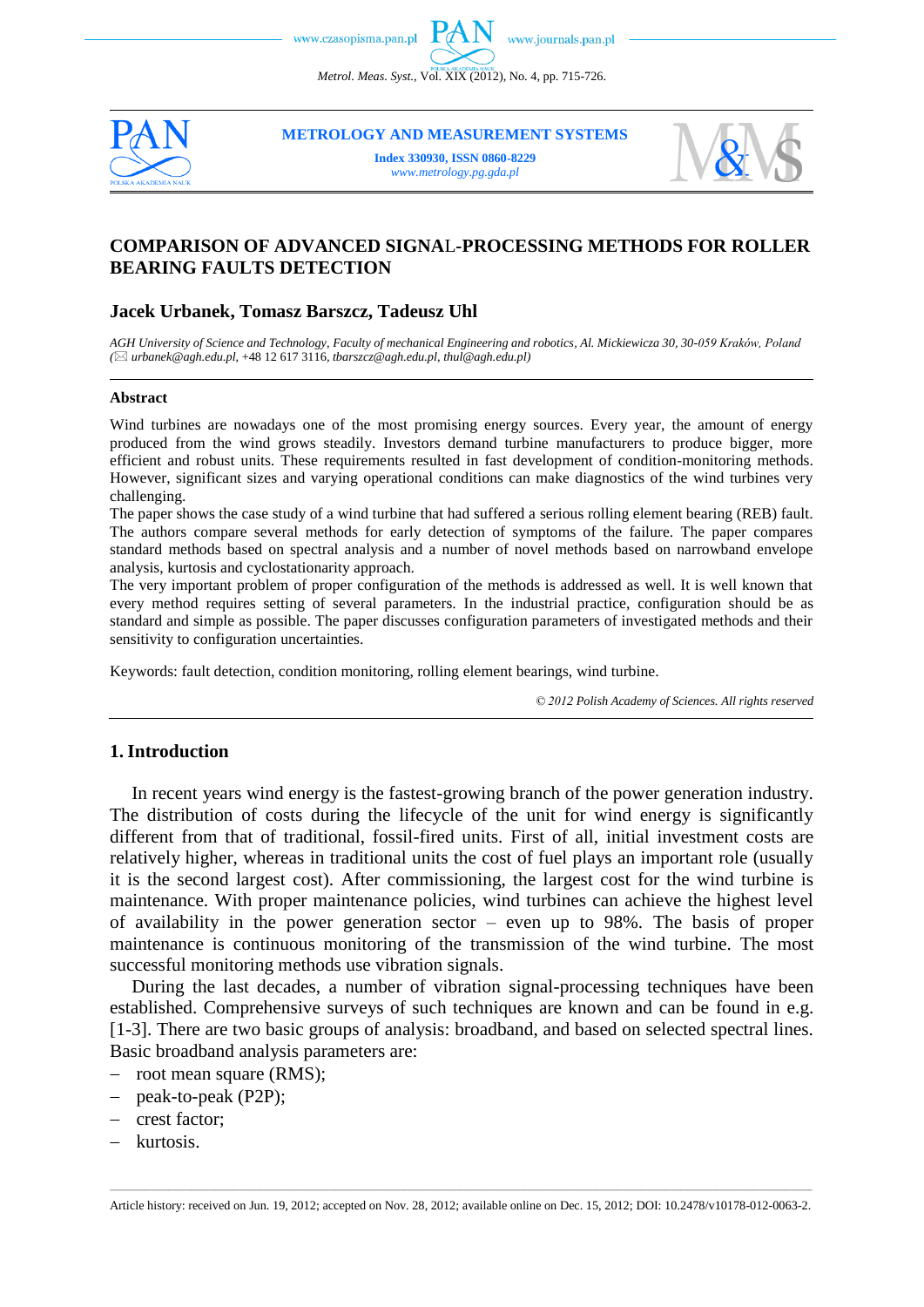*Metrol. Meas. Syst.*, Vol. XIX (2012), No. 4, pp. 715-726.



**METROLOGY AND MEASUREMENT SYSTEMS**

**Index 330930, ISSN 0860-8229** *www.metrology.pg.gda.pl*



# **COMPARISON OF ADVANCED SIGNA**L**-PROCESSING METHODS FOR ROLLER BEARING FAULTS DETECTION**

## **Jacek Urbanek, Tomasz Barszcz, Tadeusz Uhl**

*AGH University of Science and Technology, Faculty of mechanical Engineering and robotics, Al. Mickiewicza 30, 30-059 Kraków, Poland ( urbanek@agh.edu.pl,* +48 12 617 3116*, tbarszcz@agh.edu.pl*, *thul@agh.edu.pl)*

#### **Abstract**

Wind turbines are nowadays one of the most promising energy sources. Every year, the amount of energy produced from the wind grows steadily. Investors demand turbine manufacturers to produce bigger, more efficient and robust units. These requirements resulted in fast development of condition-monitoring methods. However, significant sizes and varying operational conditions can make diagnostics of the wind turbines very challenging.

The paper shows the case study of a wind turbine that had suffered a serious rolling element bearing (REB) fault. The authors compare several methods for early detection of symptoms of the failure. The paper compares standard methods based on spectral analysis and a number of novel methods based on narrowband envelope analysis, kurtosis and cyclostationarity approach.

The very important problem of proper configuration of the methods is addressed as well. It is well known that every method requires setting of several parameters. In the industrial practice, configuration should be as standard and simple as possible. The paper discusses configuration parameters of investigated methods and their sensitivity to configuration uncertainties.

Keywords: fault detection, condition monitoring, rolling element bearings, wind turbine.

*© 2012 Polish Academy of Sciences. All rights reserved*

## **1. Introduction**

In recent years wind energy is the fastest-growing branch of the power generation industry. The distribution of costs during the lifecycle of the unit for wind energy is significantly different from that of traditional, fossil-fired units. First of all, initial investment costs are relatively higher, whereas in traditional units the cost of fuel plays an important role (usually it is the second largest cost). After commissioning, the largest cost for the wind turbine is maintenance. With proper maintenance policies, wind turbines can achieve the highest level of availability in the power generation sector – even up to 98%. The basis of proper maintenance is continuous monitoring of the transmission of the wind turbine. The most successful monitoring methods use vibration signals.

During the last decades, a number of vibration signal-processing techniques have been established. Comprehensive surveys of such techniques are known and can be found in e.g. [1-3]. There are two basic groups of analysis: broadband, and based on selected spectral lines. Basic broadband analysis parameters are:

- root mean square (RMS);
- peak-to-peak (P2P);
- crest factor;
- kurtosis.

\_\_\_\_\_\_\_\_\_\_\_\_\_\_\_\_\_\_\_\_\_\_\_\_\_\_\_\_\_\_\_\_\_\_\_\_\_\_\_\_\_\_\_\_\_\_\_\_\_\_\_\_\_\_\_\_\_\_\_\_\_\_\_\_\_\_\_\_\_\_\_\_\_\_\_\_\_\_\_\_\_\_\_\_\_\_\_\_\_\_\_\_\_\_\_\_\_\_\_\_\_\_\_\_\_\_\_\_\_\_\_\_\_\_\_\_\_\_\_\_\_\_\_\_\_\_\_\_\_\_\_\_\_\_\_\_\_\_\_\_\_\_\_\_\_\_\_\_\_\_\_\_\_\_\_\_\_\_\_\_\_\_\_\_\_\_\_\_\_\_\_\_\_\_\_\_\_\_\_\_\_ Article history: received on Jun. 19, 2012; accepted on Nov. 28, 2012; available online on Dec. 15, 2012; DOI: 10.2478/v10178-012-0063-2.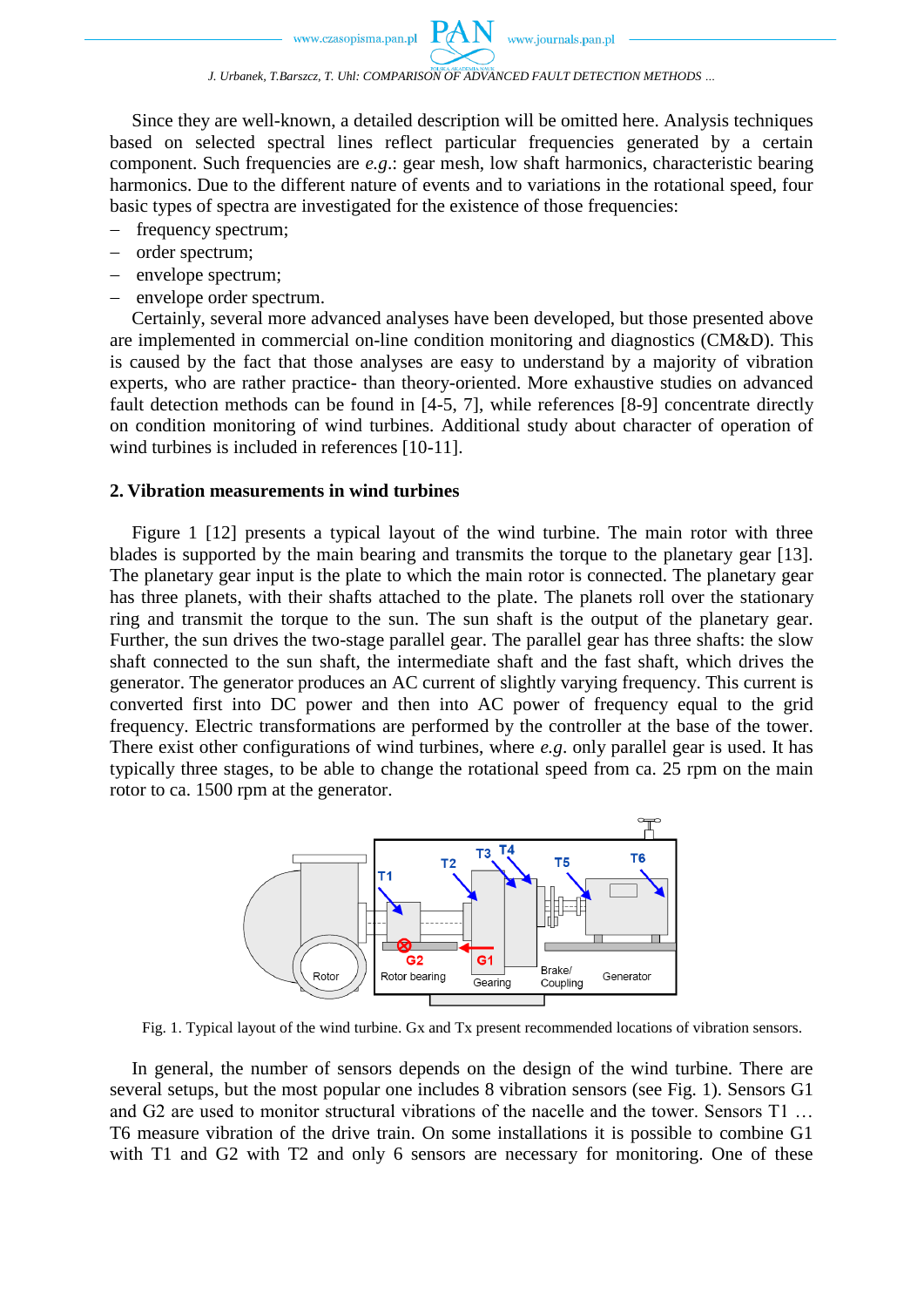Since they are well-known, a detailed description will be omitted here. Analysis techniques based on selected spectral lines reflect particular frequencies generated by a certain component. Such frequencies are *e.g*.: gear mesh, low shaft harmonics, characteristic bearing harmonics. Due to the different nature of events and to variations in the rotational speed, four basic types of spectra are investigated for the existence of those frequencies:

- frequency spectrum;
- order spectrum;
- envelope spectrum;
- envelope order spectrum.

Certainly, several more advanced analyses have been developed, but those presented above are implemented in commercial on-line condition monitoring and diagnostics (CM&D). This is caused by the fact that those analyses are easy to understand by a majority of vibration experts, who are rather practice- than theory-oriented. More exhaustive studies on advanced fault detection methods can be found in [4-5, 7], while references [8-9] concentrate directly on condition monitoring of wind turbines. Additional study about character of operation of wind turbines is included in references [10-11].

#### **2. Vibration measurements in wind turbines**

Figure 1 [12] presents a typical layout of the wind turbine. The main rotor with three blades is supported by the main bearing and transmits the torque to the planetary gear [13]. The planetary gear input is the plate to which the main rotor is connected. The planetary gear has three planets, with their shafts attached to the plate. The planets roll over the stationary ring and transmit the torque to the sun. The sun shaft is the output of the planetary gear. Further, the sun drives the two-stage parallel gear. The parallel gear has three shafts: the slow shaft connected to the sun shaft, the intermediate shaft and the fast shaft, which drives the generator. The generator produces an AC current of slightly varying frequency. This current is converted first into DC power and then into AC power of frequency equal to the grid frequency. Electric transformations are performed by the controller at the base of the tower. There exist other configurations of wind turbines, where *e.g*. only parallel gear is used. It has typically three stages, to be able to change the rotational speed from ca. 25 rpm on the main rotor to ca. 1500 rpm at the generator.



Fig. 1. Typical layout of the wind turbine. Gx and Tx present recommended locations of vibration sensors.

In general, the number of sensors depends on the design of the wind turbine. There are several setups, but the most popular one includes 8 vibration sensors (see Fig. 1). Sensors G1 and G2 are used to monitor structural vibrations of the nacelle and the tower. Sensors T1 … T6 measure vibration of the drive train. On some installations it is possible to combine G1 with T1 and G2 with T2 and only 6 sensors are necessary for monitoring. One of these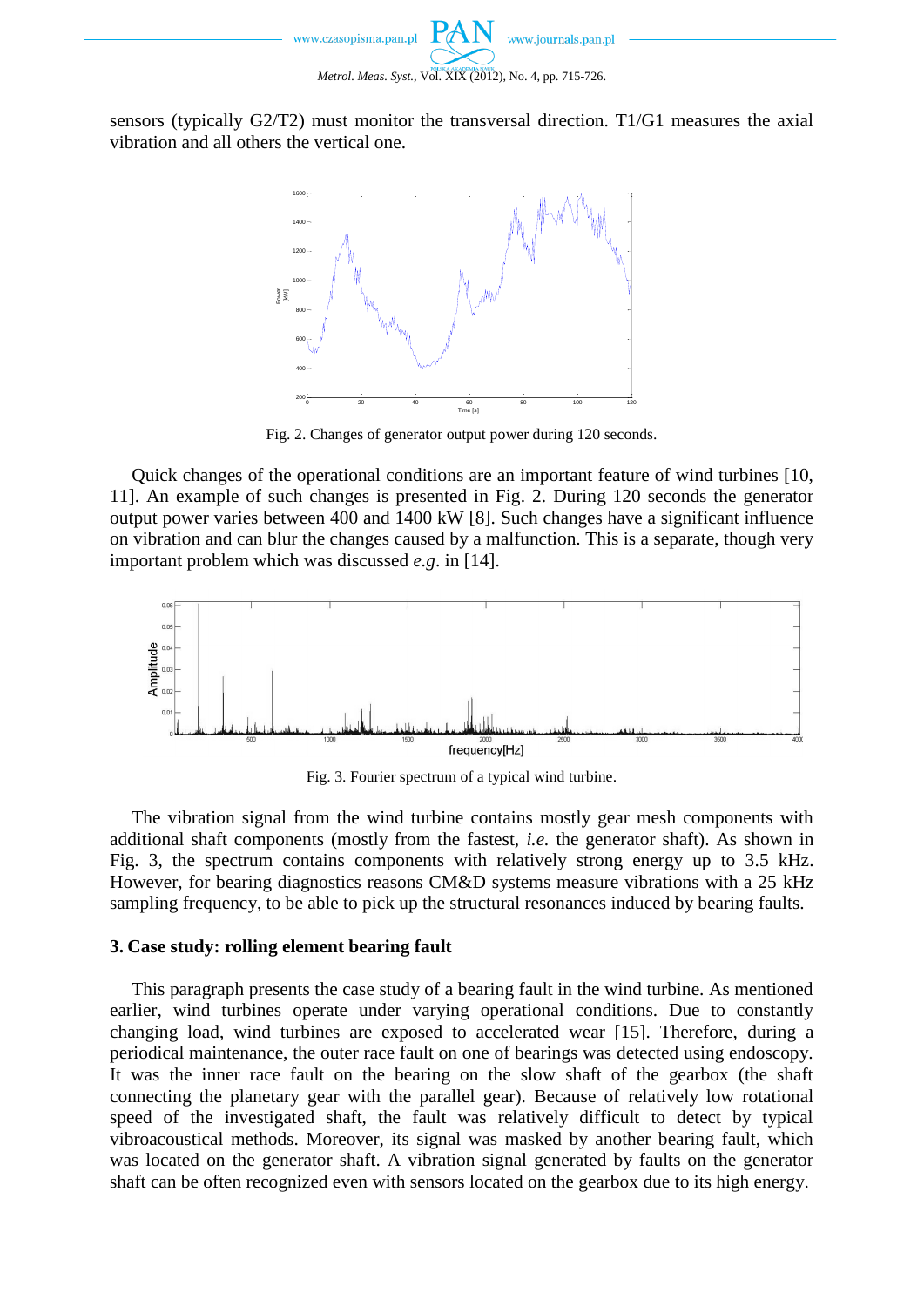

sensors (typically G2/T2) must monitor the transversal direction. T1/G1 measures the axial vibration and all others the vertical one.



Fig. 2. Changes of generator output power during 120 seconds.

Quick changes of the operational conditions are an important feature of wind turbines [10, 11]. An example of such changes is presented in Fig. 2. During 120 seconds the generator output power varies between 400 and 1400 kW [8]. Such changes have a significant influence on vibration and can blur the changes caused by a malfunction. This is a separate, though very important problem which was discussed *e.g*. in [14].



Fig. 3. Fourier spectrum of a typical wind turbine.

The vibration signal from the wind turbine contains mostly gear mesh components with additional shaft components (mostly from the fastest, *i.e.* the generator shaft). As shown in Fig. 3, the spectrum contains components with relatively strong energy up to 3.5 kHz. However, for bearing diagnostics reasons CM&D systems measure vibrations with a 25 kHz sampling frequency, to be able to pick up the structural resonances induced by bearing faults.

#### **3. Case study: rolling element bearing fault**

This paragraph presents the case study of a bearing fault in the wind turbine. As mentioned earlier, wind turbines operate under varying operational conditions. Due to constantly changing load, wind turbines are exposed to accelerated wear [15]. Therefore, during a periodical maintenance, the outer race fault on one of bearings was detected using endoscopy. It was the inner race fault on the bearing on the slow shaft of the gearbox (the shaft connecting the planetary gear with the parallel gear). Because of relatively low rotational speed of the investigated shaft, the fault was relatively difficult to detect by typical vibroacoustical methods. Moreover, its signal was masked by another bearing fault, which was located on the generator shaft. A vibration signal generated by faults on the generator shaft can be often recognized even with sensors located on the gearbox due to its high energy.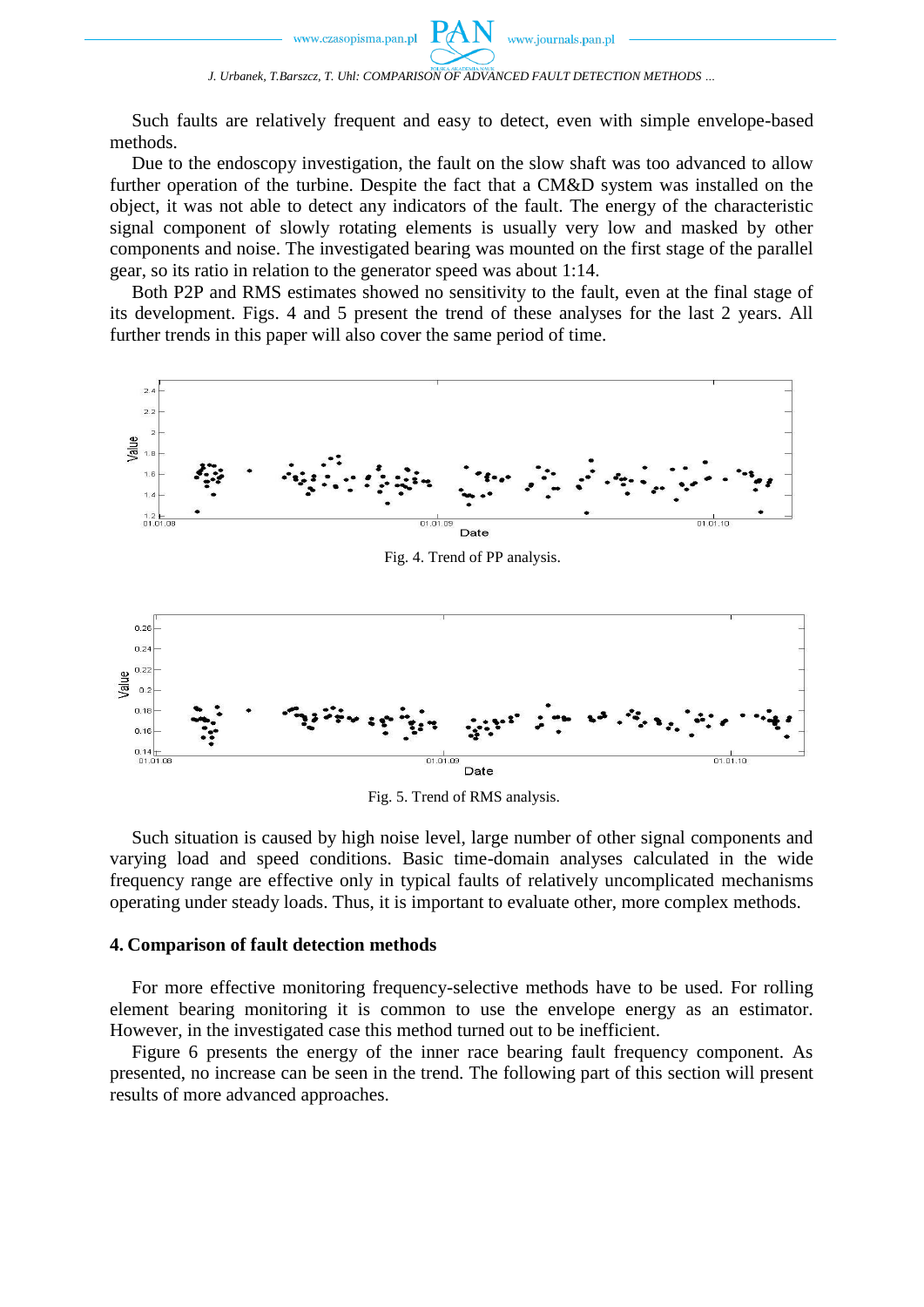Such faults are relatively frequent and easy to detect, even with simple envelope-based methods.

Due to the endoscopy investigation, the fault on the slow shaft was too advanced to allow further operation of the turbine. Despite the fact that a CM&D system was installed on the object, it was not able to detect any indicators of the fault. The energy of the characteristic signal component of slowly rotating elements is usually very low and masked by other components and noise. The investigated bearing was mounted on the first stage of the parallel gear, so its ratio in relation to the generator speed was about 1:14.

Both P2P and RMS estimates showed no sensitivity to the fault, even at the final stage of its development. Figs. 4 and 5 present the trend of these analyses for the last 2 years. All further trends in this paper will also cover the same period of time.



Fig. 5. Trend of RMS analysis.

Such situation is caused by high noise level, large number of other signal components and varying load and speed conditions. Basic time-domain analyses calculated in the wide frequency range are effective only in typical faults of relatively uncomplicated mechanisms operating under steady loads. Thus, it is important to evaluate other, more complex methods.

## **4. Comparison of fault detection methods**

For more effective monitoring frequency-selective methods have to be used. For rolling element bearing monitoring it is common to use the envelope energy as an estimator. However, in the investigated case this method turned out to be inefficient.

Figure 6 presents the energy of the inner race bearing fault frequency component. As presented, no increase can be seen in the trend. The following part of this section will present results of more advanced approaches.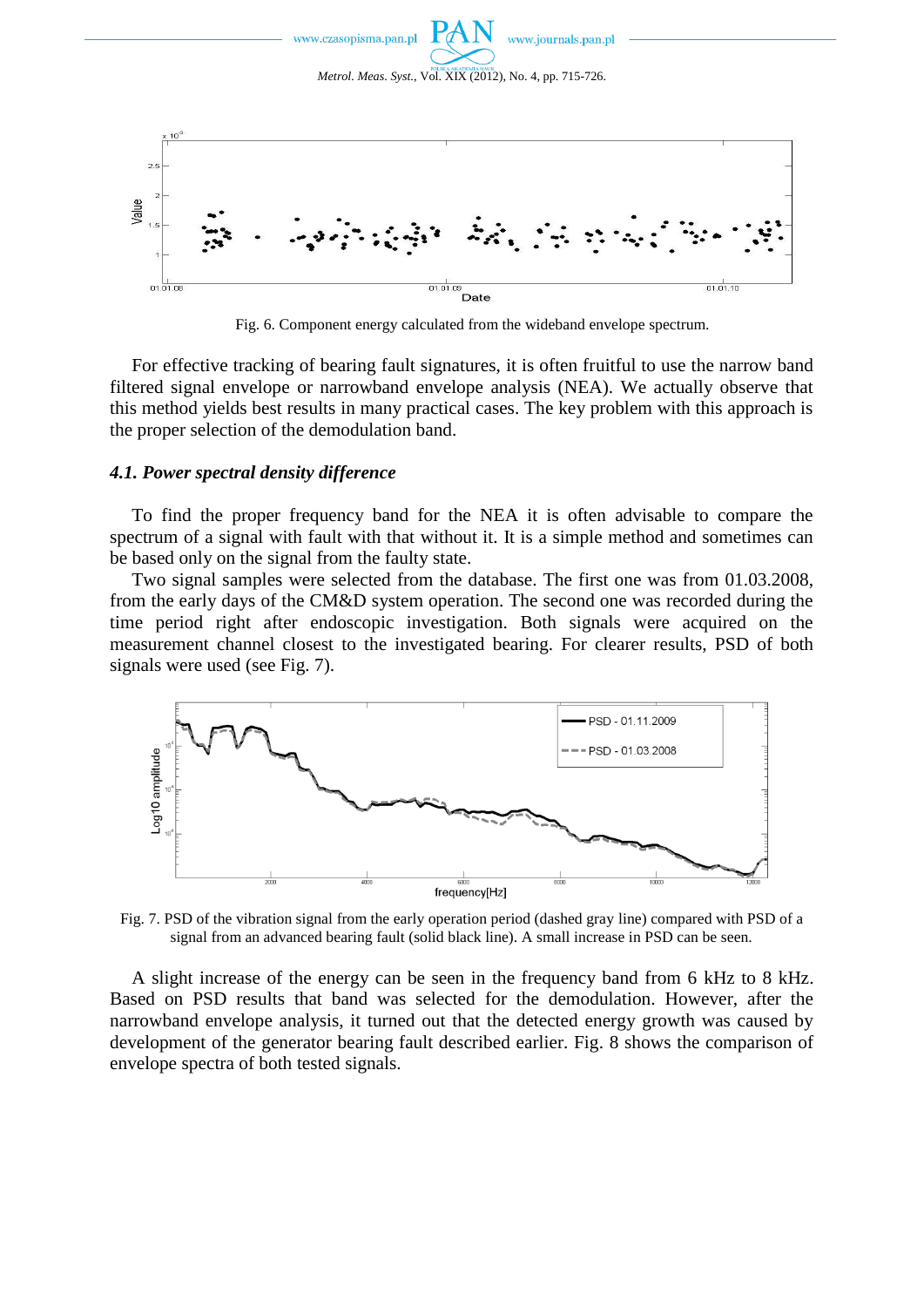

Fig. 6. Component energy calculated from the wideband envelope spectrum.

For effective tracking of bearing fault signatures, it is often fruitful to use the narrow band filtered signal envelope or narrowband envelope analysis (NEA). We actually observe that this method yields best results in many practical cases. The key problem with this approach is the proper selection of the demodulation band.

### *4.1. Power spectral density difference*

To find the proper frequency band for the NEA it is often advisable to compare the spectrum of a signal with fault with that without it. It is a simple method and sometimes can be based only on the signal from the faulty state.

Two signal samples were selected from the database. The first one was from 01.03.2008, from the early days of the CM&D system operation. The second one was recorded during the time period right after endoscopic investigation. Both signals were acquired on the measurement channel closest to the investigated bearing. For clearer results, PSD of both signals were used (see Fig. 7).



Fig. 7. PSD of the vibration signal from the early operation period (dashed gray line) compared with PSD of a signal from an advanced bearing fault (solid black line). A small increase in PSD can be seen.

A slight increase of the energy can be seen in the frequency band from 6 kHz to 8 kHz. Based on PSD results that band was selected for the demodulation. However, after the narrowband envelope analysis, it turned out that the detected energy growth was caused by development of the generator bearing fault described earlier. Fig. 8 shows the comparison of envelope spectra of both tested signals.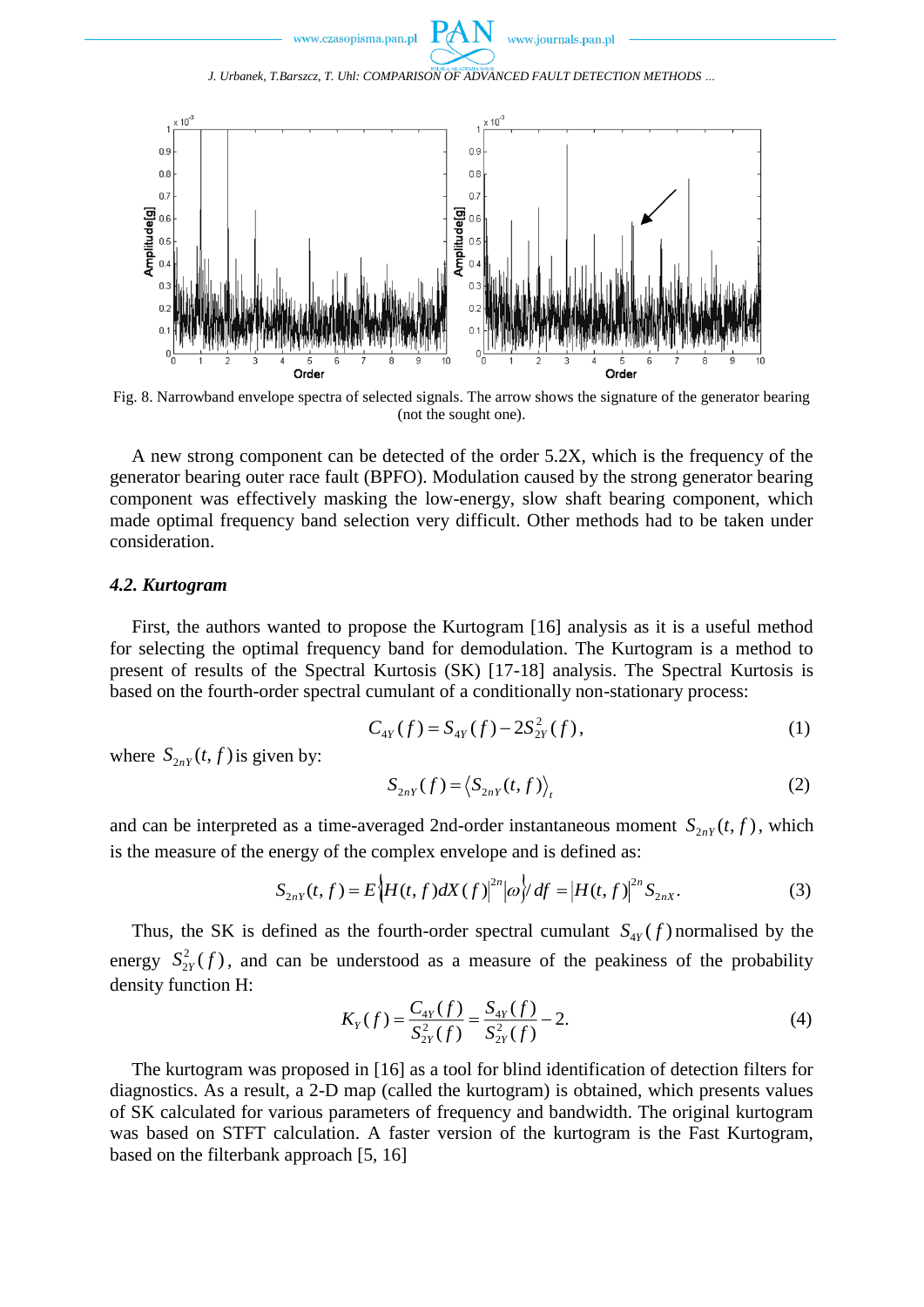*J. Urbanek, T.Barszcz, T. Uhl: COMPARISON OF ADVANCED FAULT DETECTION METHODS …*



Fig. 8. Narrowband envelope spectra of selected signals. The arrow shows the signature of the generator bearing (not the sought one).

A new strong component can be detected of the order 5.2X, which is the frequency of the generator bearing outer race fault (BPFO). Modulation caused by the strong generator bearing component was effectively masking the low-energy, slow shaft bearing component, which made optimal frequency band selection very difficult. Other methods had to be taken under consideration.

## *4.2. Kurtogram*

First, the authors wanted to propose the Kurtogram [16] analysis as it is a useful method for selecting the optimal frequency band for demodulation. The Kurtogram is a method to present of results of the Spectral Kurtosis (SK) [17-18] analysis. The Spectral Kurtosis is based on the fourth-order spectral cumulant of a conditionally non-stationary process:

$$
C_{4Y}(f) = S_{4Y}(f) - 2S_{2Y}^{2}(f),
$$
\n(1)

where  $S_{2nY}(t, f)$  is given by:

$$
S_{2nY}(f) = \langle S_{2nY}(t,f) \rangle_t \tag{2}
$$

and can be interpreted as a time-averaged 2nd-order instantaneous moment  $S_{2nY}(t, f)$ , which is the measure of the energy of the complex envelope and is defined as:

$$
S_{2nY}(t,f) = E\Big\{H(t,f)dX(f)\Big\|^{2n}|\omega\Big\} / df = |H(t,f)|^{2n} S_{2nX}.
$$
 (3)

Thus, the SK is defined as the fourth-order spectral cumulant  $S_{4y}(f)$  normalised by the energy  $S_{2y}^2(f)$ , and can be understood as a measure of the peakiness of the probability density function H:

$$
K_Y(f) = \frac{C_{4Y}(f)}{S_{2Y}^2(f)} = \frac{S_{4Y}(f)}{S_{2Y}^2(f)} - 2.
$$
 (4)

The kurtogram was proposed in [16] as a tool for blind identification of detection filters for diagnostics. As a result, a 2-D map (called the kurtogram) is obtained, which presents values of SK calculated for various parameters of frequency and bandwidth. The original kurtogram was based on STFT calculation. A faster version of the kurtogram is the Fast Kurtogram, based on the filterbank approach [5, 16]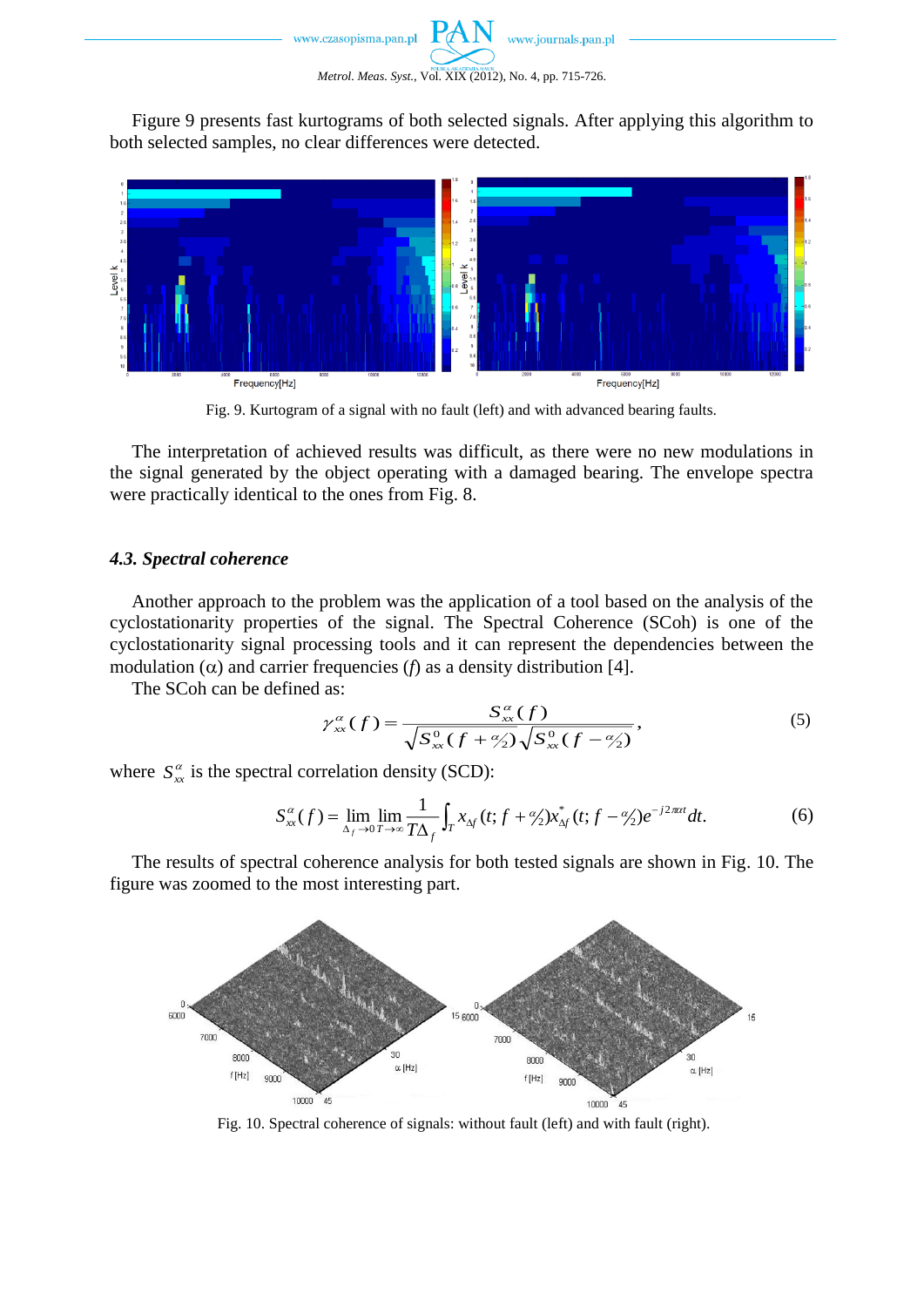

Figure 9 presents fast kurtograms of both selected signals. After applying this algorithm to both selected samples, no clear differences were detected.



Fig. 9. Kurtogram of a signal with no fault (left) and with advanced bearing faults.

The interpretation of achieved results was difficult, as there were no new modulations in the signal generated by the object operating with a damaged bearing. The envelope spectra were practically identical to the ones from Fig. 8.

### *4.3. Spectral coherence*

Another approach to the problem was the application of a tool based on the analysis of the cyclostationarity properties of the signal. The Spectral Coherence (SCoh) is one of the cyclostationarity signal processing tools and it can represent the dependencies between the modulation  $(\alpha)$  and carrier frequencies  $(f)$  as a density distribution [4].

The SCoh can be defined as:

$$
\gamma_{xx}^{\alpha}(f) = \frac{S_{xx}^{\alpha}(f)}{\sqrt{S_{xx}^{0}(f + \frac{\alpha}{2})}\sqrt{S_{xx}^{0}(f - \frac{\alpha}{2})}},
$$
\n(5)

where  $S_{xx}^{\alpha}$  is the spectral correlation density (SCD):

$$
S_{xx}^{\alpha}(f) = \lim_{\Delta_f \to 0} \lim_{T \to \infty} \frac{1}{T\Delta_f} \int_T x_{\Delta_f}(t; f + \frac{\alpha}{2}) x_{\Delta_f}^*(t; f - \frac{\alpha}{2}) e^{-j2\pi\alpha t} dt.
$$
 (6)

The results of spectral coherence analysis for both tested signals are shown in Fig. 10. The figure was zoomed to the most interesting part.



Fig. 10. Spectral coherence of signals: without fault (left) and with fault (right).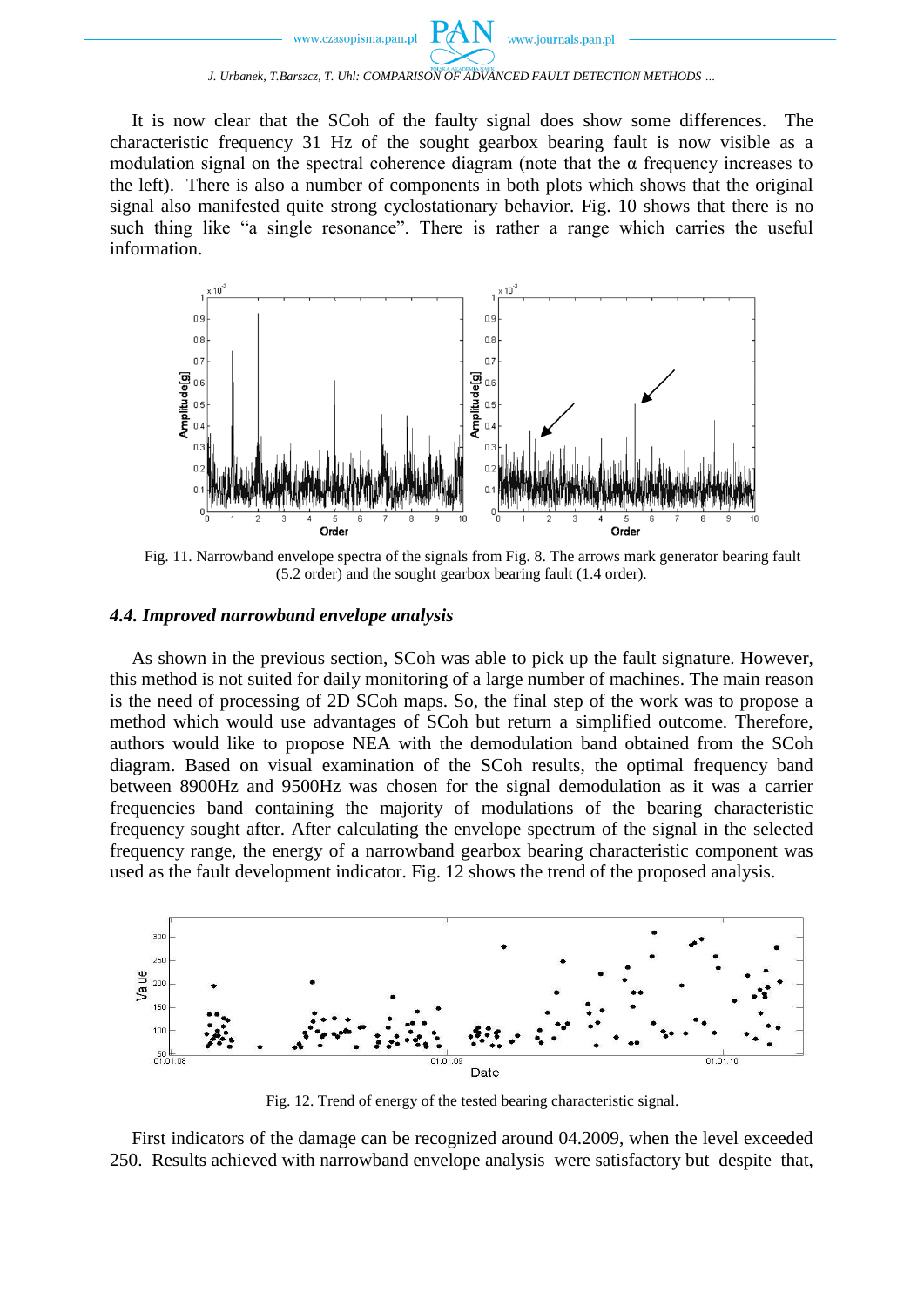It is now clear that the SCoh of the faulty signal does show some differences. The characteristic frequency 31 Hz of the sought gearbox bearing fault is now visible as a modulation signal on the spectral coherence diagram (note that the  $\alpha$  frequency increases to the left). There is also a number of components in both plots which shows that the original signal also manifested quite strong cyclostationary behavior. Fig. 10 shows that there is no such thing like "a single resonance". There is rather a range which carries the useful information.



Fig. 11. Narrowband envelope spectra of the signals from Fig. 8. The arrows mark generator bearing fault (5.2 order) and the sought gearbox bearing fault (1.4 order).

## *4.4. Improved narrowband envelope analysis*

As shown in the previous section, SCoh was able to pick up the fault signature. However, this method is not suited for daily monitoring of a large number of machines. The main reason is the need of processing of 2D SCoh maps. So, the final step of the work was to propose a method which would use advantages of SCoh but return a simplified outcome. Therefore, authors would like to propose NEA with the demodulation band obtained from the SCoh diagram. Based on visual examination of the SCoh results, the optimal frequency band between 8900Hz and 9500Hz was chosen for the signal demodulation as it was a carrier frequencies band containing the majority of modulations of the bearing characteristic frequency sought after. After calculating the envelope spectrum of the signal in the selected frequency range, the energy of a narrowband gearbox bearing characteristic component was used as the fault development indicator. Fig. 12 shows the trend of the proposed analysis.



Fig. 12. Trend of energy of the tested bearing characteristic signal.

First indicators of the damage can be recognized around 04.2009, when the level exceeded 250. Results achieved with narrowband envelope analysis were satisfactory but despite that,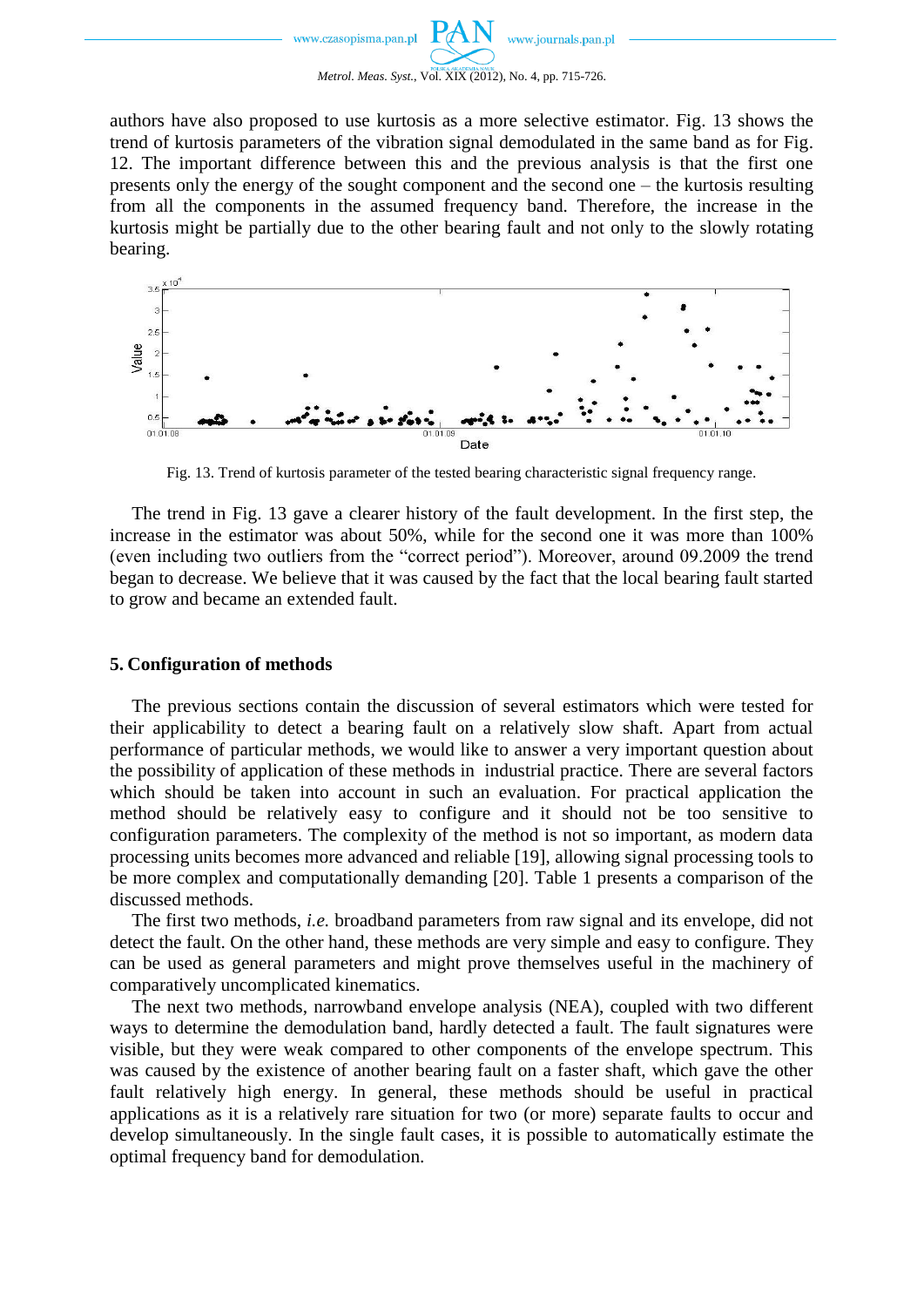

authors have also proposed to use kurtosis as a more selective estimator. Fig. 13 shows the trend of kurtosis parameters of the vibration signal demodulated in the same band as for Fig. 12. The important difference between this and the previous analysis is that the first one presents only the energy of the sought component and the second one – the kurtosis resulting from all the components in the assumed frequency band. Therefore, the increase in the kurtosis might be partially due to the other bearing fault and not only to the slowly rotating bearing.



Fig. 13. Trend of kurtosis parameter of the tested bearing characteristic signal frequency range.

The trend in Fig. 13 gave a clearer history of the fault development. In the first step, the increase in the estimator was about 50%, while for the second one it was more than 100% (even including two outliers from the "correct period"). Moreover, around 09.2009 the trend began to decrease. We believe that it was caused by the fact that the local bearing fault started to grow and became an extended fault.

## **5. Configuration of methods**

The previous sections contain the discussion of several estimators which were tested for their applicability to detect a bearing fault on a relatively slow shaft. Apart from actual performance of particular methods, we would like to answer a very important question about the possibility of application of these methods in industrial practice. There are several factors which should be taken into account in such an evaluation. For practical application the method should be relatively easy to configure and it should not be too sensitive to configuration parameters. The complexity of the method is not so important, as modern data processing units becomes more advanced and reliable [19], allowing signal processing tools to be more complex and computationally demanding [20]. Table 1 presents a comparison of the discussed methods.

The first two methods, *i.e.* broadband parameters from raw signal and its envelope, did not detect the fault. On the other hand, these methods are very simple and easy to configure. They can be used as general parameters and might prove themselves useful in the machinery of comparatively uncomplicated kinematics.

The next two methods, narrowband envelope analysis (NEA), coupled with two different ways to determine the demodulation band, hardly detected a fault. The fault signatures were visible, but they were weak compared to other components of the envelope spectrum. This was caused by the existence of another bearing fault on a faster shaft, which gave the other fault relatively high energy. In general, these methods should be useful in practical applications as it is a relatively rare situation for two (or more) separate faults to occur and develop simultaneously. In the single fault cases, it is possible to automatically estimate the optimal frequency band for demodulation.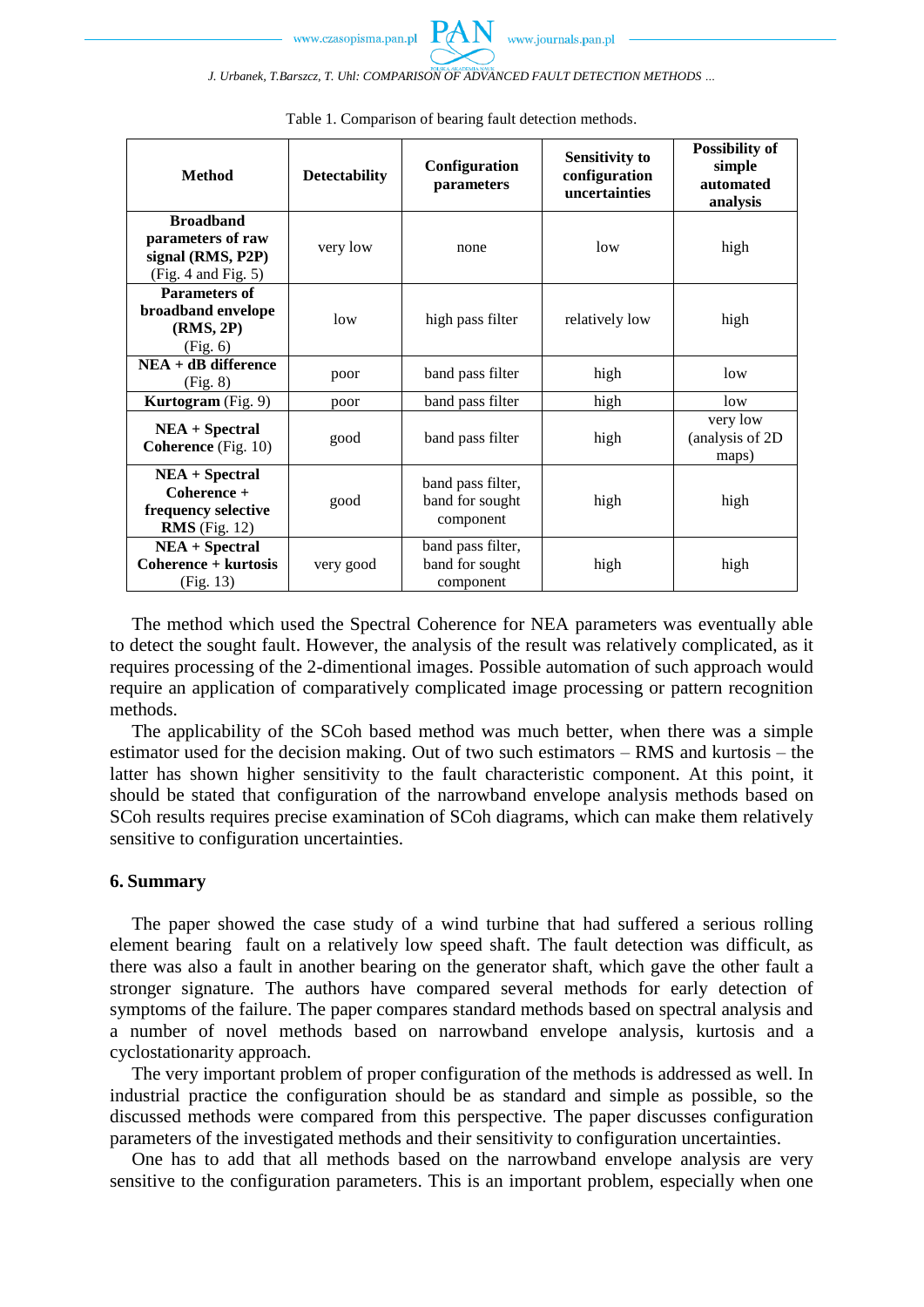*J. Urbanek, T.Barszcz, T. Uhl: COMPARISON OF ADVANCED FAULT DETECTION METHODS …*

| <b>Method</b>                                                                         | <b>Detectability</b> | Configuration<br>parameters                       | <b>Sensitivity to</b><br>configuration<br>uncertainties | <b>Possibility of</b><br>simple<br>automated<br>analysis |  |
|---------------------------------------------------------------------------------------|----------------------|---------------------------------------------------|---------------------------------------------------------|----------------------------------------------------------|--|
| <b>Broadband</b><br>parameters of raw<br>signal (RMS, P2P)<br>(Fig. 4 and Fig. 5)     | very low             | none                                              | low                                                     | high                                                     |  |
| <b>Parameters of</b><br>broadband envelope<br>(RMS, 2P)<br>(Fig. 6)                   | low                  | high pass filter                                  | relatively low                                          | high                                                     |  |
| $NEA + dB$ difference<br>(Fig. 8)                                                     | poor                 | band pass filter                                  | high                                                    | low                                                      |  |
| Kurtogram (Fig. 9)                                                                    | poor                 | band pass filter                                  | high                                                    | low                                                      |  |
| <b>NEA</b> + Spectral<br><b>Coherence</b> (Fig. 10)                                   | good                 | band pass filter                                  | high                                                    | very low<br>(analysis of 2D<br>maps)                     |  |
| <b>NEA</b> + Spectral<br>$Coherence +$<br>frequency selective<br><b>RMS</b> (Fig. 12) | good                 | band pass filter,<br>band for sought<br>component | high                                                    | high                                                     |  |
| <b>NEA</b> + Spectral<br>Coherence + kurtosis<br>(Fig. 13)                            | very good            | band pass filter,<br>band for sought<br>component | high                                                    | high                                                     |  |

|  |  |  |  | Table 1. Comparison of bearing fault detection methods. |
|--|--|--|--|---------------------------------------------------------|
|  |  |  |  |                                                         |

The method which used the Spectral Coherence for NEA parameters was eventually able to detect the sought fault. However, the analysis of the result was relatively complicated, as it requires processing of the 2-dimentional images. Possible automation of such approach would require an application of comparatively complicated image processing or pattern recognition methods.

The applicability of the SCoh based method was much better, when there was a simple estimator used for the decision making. Out of two such estimators – RMS and kurtosis – the latter has shown higher sensitivity to the fault characteristic component. At this point, it should be stated that configuration of the narrowband envelope analysis methods based on SCoh results requires precise examination of SCoh diagrams, which can make them relatively sensitive to configuration uncertainties.

## **6. Summary**

The paper showed the case study of a wind turbine that had suffered a serious rolling element bearing fault on a relatively low speed shaft. The fault detection was difficult, as there was also a fault in another bearing on the generator shaft, which gave the other fault a stronger signature. The authors have compared several methods for early detection of symptoms of the failure. The paper compares standard methods based on spectral analysis and a number of novel methods based on narrowband envelope analysis, kurtosis and a cyclostationarity approach.

The very important problem of proper configuration of the methods is addressed as well. In industrial practice the configuration should be as standard and simple as possible, so the discussed methods were compared from this perspective. The paper discusses configuration parameters of the investigated methods and their sensitivity to configuration uncertainties.

One has to add that all methods based on the narrowband envelope analysis are very sensitive to the configuration parameters. This is an important problem, especially when one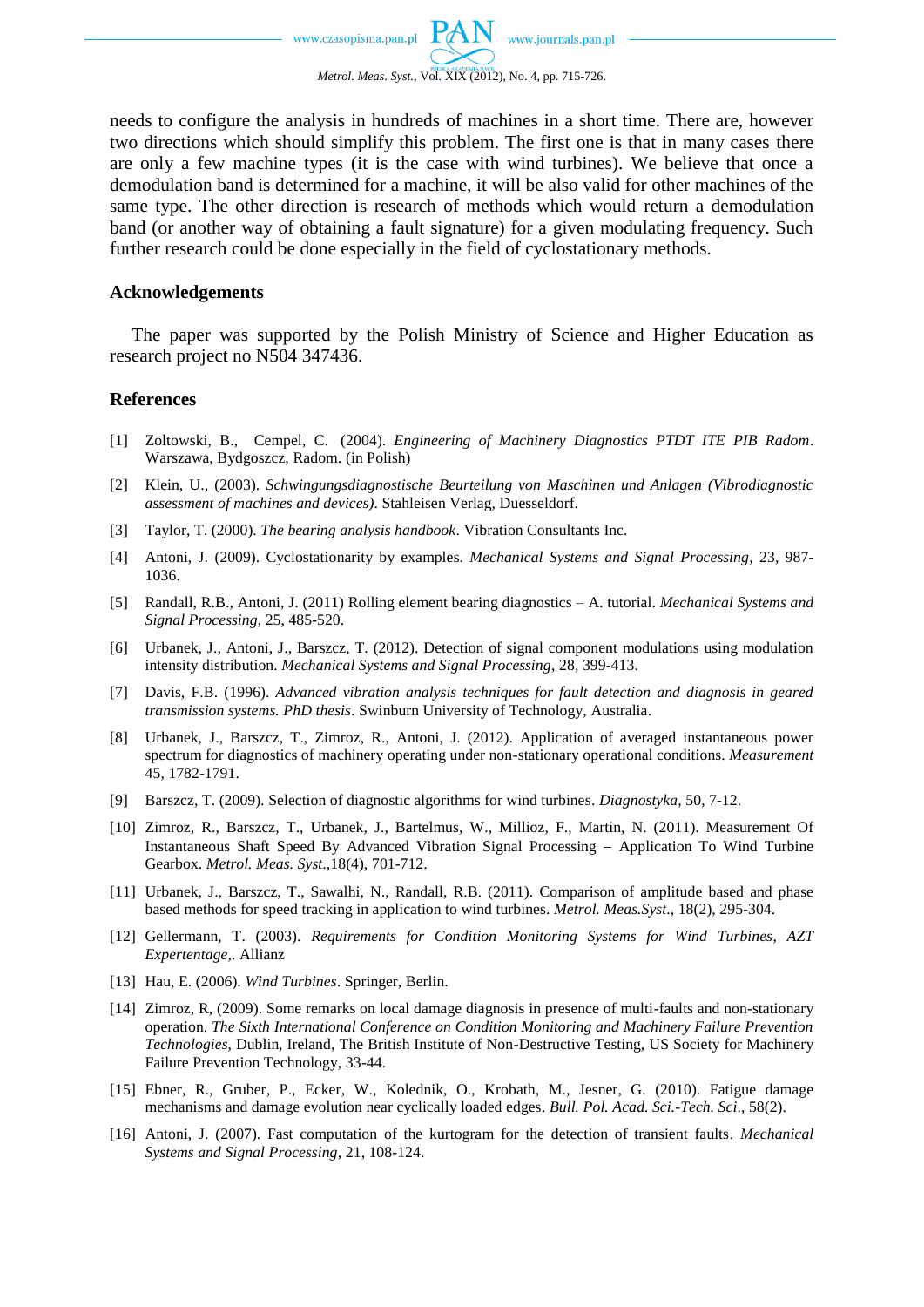needs to configure the analysis in hundreds of machines in a short time. There are, however two directions which should simplify this problem. The first one is that in many cases there are only a few machine types (it is the case with wind turbines). We believe that once a demodulation band is determined for a machine, it will be also valid for other machines of the same type. The other direction is research of methods which would return a demodulation band (or another way of obtaining a fault signature) for a given modulating frequency. Such further research could be done especially in the field of cyclostationary methods.

## **Acknowledgements**

The paper was supported by the Polish Ministry of Science and Higher Education as research project no N504 347436.

#### **References**

- [1] Zoltowski, B., Cempel, C. (2004). *Engineering of Machinery Diagnostics PTDT ITE PIB Radom*. Warszawa, Bydgoszcz, Radom. (in Polish)
- [2] Klein, U., (2003). *Schwingungsdiagnostische Beurteilung von Maschinen und Anlagen (Vibrodiagnostic assessment of machines and devices)*. Stahleisen Verlag, Duesseldorf.
- [3] Taylor, T. (2000). *The bearing analysis handbook*. Vibration Consultants Inc.
- [4] Antoni, J. (2009). Cyclostationarity by examples. *Mechanical Systems and Signal Processing*, 23, 987- 1036.
- [5] Randall, R.B., Antoni, J. (2011) Rolling element bearing diagnostics A. tutorial. *Mechanical Systems and Signal Processing*, 25, 485-520.
- [6] Urbanek, J., Antoni, J., Barszcz, T. (2012). Detection of signal component modulations using modulation intensity distribution. *Mechanical Systems and Signal Processing*, 28, 399-413.
- [7] Davis, F.B. (1996). *Advanced vibration analysis techniques for fault detection and diagnosis in geared transmission systems. PhD thesis*. Swinburn University of Technology, Australia.
- [8] Urbanek, J., Barszcz, T., Zimroz, R., Antoni, J. (2012). Application of averaged instantaneous power spectrum for diagnostics of machinery operating under non-stationary operational conditions. *Measurement* 45, 1782-1791.
- [9] Barszcz, T. (2009). Selection of diagnostic algorithms for wind turbines. *Diagnostyka*, 50, 7-12.
- [10] Zimroz, R., Barszcz, T., Urbanek, J., Bartelmus, W., Millioz, F., Martin, N. (2011). Measurement Of Instantaneous Shaft Speed By Advanced Vibration Signal Processing - Application To Wind Turbine Gearbox. *Metrol. Meas. Syst*.,18(4), 701-712.
- [11] Urbanek, J., Barszcz, T., Sawalhi, N., Randall, R.B. (2011). Comparison of amplitude based and phase based methods for speed tracking in application to wind turbines. *Metrol. Meas.Syst*., 18(2), 295-304.
- [12] Gellermann, T. (2003). *Requirements for Condition Monitoring Systems for Wind Turbines*, *AZT Expertentage*,. Allianz
- [13] Hau, E. (2006). *Wind Turbines*. Springer, Berlin.
- [14] Zimroz, R, (2009). Some remarks on local damage diagnosis in presence of multi-faults and non-stationary operation. *The Sixth International Conference on Condition Monitoring and Machinery Failure Prevention Technologies*, Dublin, Ireland, The British Institute of Non-Destructive Testing, US Society for Machinery Failure Prevention Technology, 33-44.
- [15] Ebner, R., Gruber, P., Ecker, W., Kolednik, O., Krobath, M., Jesner, G. (2010). Fatigue damage mechanisms and damage evolution near cyclically loaded edges. *Bull. Pol. Acad. Sci.-Tech. Sci*., 58(2).
- [16] Antoni, J. (2007). Fast computation of the kurtogram for the detection of transient faults. *Mechanical Systems and Signal Processing*, 21, 108-124.